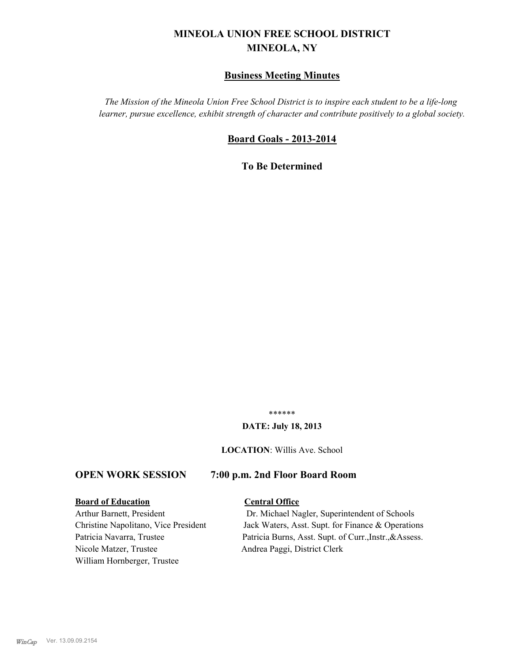# **MINEOLA UNION FREE SCHOOL DISTRICT MINEOLA, NY**

# **Business Meeting Minutes**

*The Mission of the Mineola Union Free School District is to inspire each student to be a life-long learner, pursue excellence, exhibit strength of character and contribute positively to a global society.*

# **Board Goals - 2013-2014**

**To Be Determined**

\*\*\*\*\*\*

## **DATE: July 18, 2013**

**LOCATION**: Willis Ave. School

# **OPEN WORK SESSION 7:00 p.m. 2nd Floor Board Room**

#### **Board of Education Central Office**

Nicole Matzer, Trustee Andrea Paggi, District Clerk William Hornberger, Trustee

Arthur Barnett, President Dr. Michael Nagler, Superintendent of Schools Christine Napolitano, Vice President Jack Waters, Asst. Supt. for Finance & Operations Patricia Navarra, Trustee Patricia Burns, Asst. Supt. of Curr., Instr., & Assess.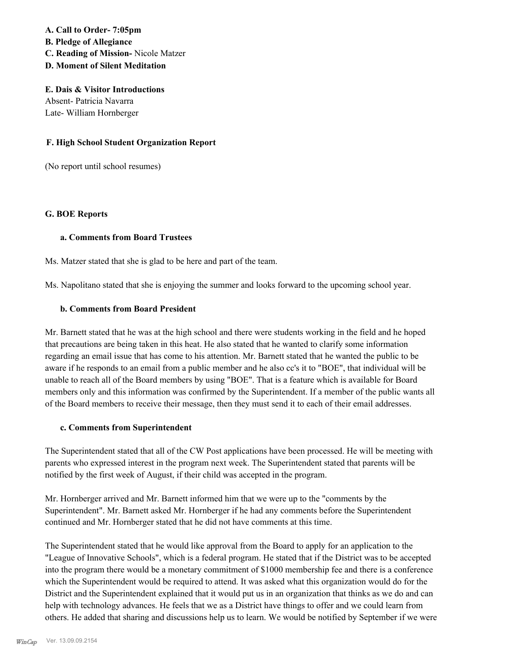**A. Call to Order- 7:05pm B. Pledge of Allegiance C. Reading of Mission-** Nicole Matzer **D. Moment of Silent Meditation**

**E. Dais & Visitor Introductions** Absent- Patricia Navarra Late- William Hornberger

# **F. High School Student Organization Report**

(No report until school resumes)

#### **G. BOE Reports**

#### **a. Comments from Board Trustees**

Ms. Matzer stated that she is glad to be here and part of the team.

Ms. Napolitano stated that she is enjoying the summer and looks forward to the upcoming school year.

# **b. Comments from Board President**

Mr. Barnett stated that he was at the high school and there were students working in the field and he hoped that precautions are being taken in this heat. He also stated that he wanted to clarify some information regarding an email issue that has come to his attention. Mr. Barnett stated that he wanted the public to be aware if he responds to an email from a public member and he also cc's it to "BOE", that individual will be unable to reach all of the Board members by using "BOE". That is a feature which is available for Board members only and this information was confirmed by the Superintendent. If a member of the public wants all of the Board members to receive their message, then they must send it to each of their email addresses.

## **c. Comments from Superintendent**

The Superintendent stated that all of the CW Post applications have been processed. He will be meeting with parents who expressed interest in the program next week. The Superintendent stated that parents will be notified by the first week of August, if their child was accepted in the program.

Mr. Hornberger arrived and Mr. Barnett informed him that we were up to the "comments by the Superintendent". Mr. Barnett asked Mr. Hornberger if he had any comments before the Superintendent continued and Mr. Hornberger stated that he did not have comments at this time.

The Superintendent stated that he would like approval from the Board to apply for an application to the "League of Innovative Schools", which is a federal program. He stated that if the District was to be accepted into the program there would be a monetary commitment of \$1000 membership fee and there is a conference which the Superintendent would be required to attend. It was asked what this organization would do for the District and the Superintendent explained that it would put us in an organization that thinks as we do and can help with technology advances. He feels that we as a District have things to offer and we could learn from others. He added that sharing and discussions help us to learn. We would be notified by September if we were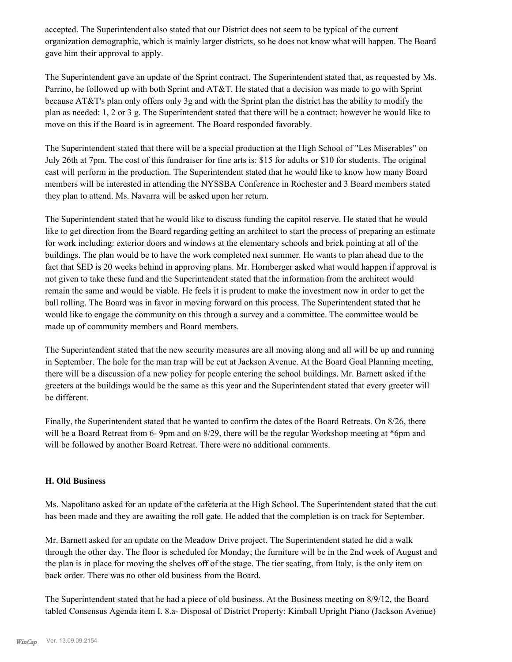accepted. The Superintendent also stated that our District does not seem to be typical of the current organization demographic, which is mainly larger districts, so he does not know what will happen. The Board gave him their approval to apply.

The Superintendent gave an update of the Sprint contract. The Superintendent stated that, as requested by Ms. Parrino, he followed up with both Sprint and AT&T. He stated that a decision was made to go with Sprint because AT&T's plan only offers only 3g and with the Sprint plan the district has the ability to modify the plan as needed: 1, 2 or 3 g. The Superintendent stated that there will be a contract; however he would like to move on this if the Board is in agreement. The Board responded favorably.

The Superintendent stated that there will be a special production at the High School of "Les Miserables" on July 26th at 7pm. The cost of this fundraiser for fine arts is: \$15 for adults or \$10 for students. The original cast will perform in the production. The Superintendent stated that he would like to know how many Board members will be interested in attending the NYSSBA Conference in Rochester and 3 Board members stated they plan to attend. Ms. Navarra will be asked upon her return.

The Superintendent stated that he would like to discuss funding the capitol reserve. He stated that he would like to get direction from the Board regarding getting an architect to start the process of preparing an estimate for work including: exterior doors and windows at the elementary schools and brick pointing at all of the buildings. The plan would be to have the work completed next summer. He wants to plan ahead due to the fact that SED is 20 weeks behind in approving plans. Mr. Hornberger asked what would happen if approval is not given to take these fund and the Superintendent stated that the information from the architect would remain the same and would be viable. He feels it is prudent to make the investment now in order to get the ball rolling. The Board was in favor in moving forward on this process. The Superintendent stated that he would like to engage the community on this through a survey and a committee. The committee would be made up of community members and Board members.

The Superintendent stated that the new security measures are all moving along and all will be up and running in September. The hole for the man trap will be cut at Jackson Avenue. At the Board Goal Planning meeting, there will be a discussion of a new policy for people entering the school buildings. Mr. Barnett asked if the greeters at the buildings would be the same as this year and the Superintendent stated that every greeter will be different.

Finally, the Superintendent stated that he wanted to confirm the dates of the Board Retreats. On 8/26, there will be a Board Retreat from 6- 9pm and on 8/29, there will be the regular Workshop meeting at \*6pm and will be followed by another Board Retreat. There were no additional comments.

# **H. Old Business**

Ms. Napolitano asked for an update of the cafeteria at the High School. The Superintendent stated that the cut has been made and they are awaiting the roll gate. He added that the completion is on track for September.

Mr. Barnett asked for an update on the Meadow Drive project. The Superintendent stated he did a walk through the other day. The floor is scheduled for Monday; the furniture will be in the 2nd week of August and the plan is in place for moving the shelves off of the stage. The tier seating, from Italy, is the only item on back order. There was no other old business from the Board.

The Superintendent stated that he had a piece of old business. At the Business meeting on 8/9/12, the Board tabled Consensus Agenda item I. 8.a- Disposal of District Property: Kimball Upright Piano (Jackson Avenue)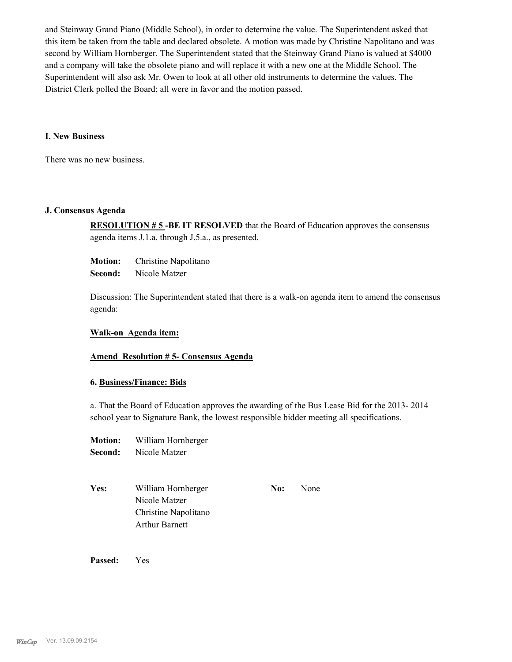and Steinway Grand Piano (Middle School), in order to determine the value. The Superintendent asked that this item be taken from the table and declared obsolete. A motion was made by Christine Napolitano and was second by William Hornberger. The Superintendent stated that the Steinway Grand Piano is valued at \$4000 and a company will take the obsolete piano and will replace it with a new one at the Middle School. The Superintendent will also ask Mr. Owen to look at all other old instruments to determine the values. The District Clerk polled the Board; all were in favor and the motion passed.

#### **I. New Business**

There was no new business.

#### **J. Consensus Agenda**

**RESOLUTION # 5 -BE IT RESOLVED** that the Board of Education approves the consensus agenda items J.1.a. through J.5.a., as presented.

**Motion:** Christine Napolitano

**Second:** Nicole Matzer

Discussion: The Superintendent stated that there is a walk-on agenda item to amend the consensus agenda:

#### **Walk-on Agenda item:**

## **Amend Resolution # 5- Consensus Agenda**

## **6. Business/Finance: Bids**

a. That the Board of Education approves the awarding of the Bus Lease Bid for the 2013- 2014 school year to Signature Bank, the lowest responsible bidder meeting all specifications.

- **Motion:** William Hornberger **Second:** Nicole Matzer
- Yes: William Hornberger **No:** None Nicole Matzer Christine Napolitano Arthur Barnett

**Passed:** Yes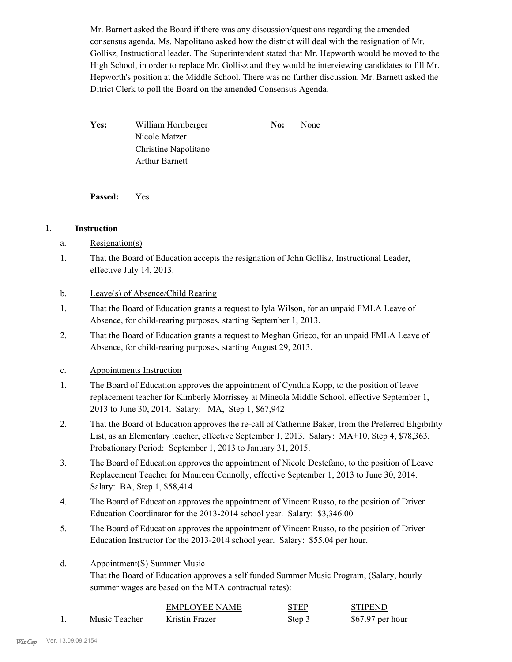Mr. Barnett asked the Board if there was any discussion/questions regarding the amended consensus agenda. Ms. Napolitano asked how the district will deal with the resignation of Mr. Gollisz, Instructional leader. The Superintendent stated that Mr. Hepworth would be moved to the High School, in order to replace Mr. Gollisz and they would be interviewing candidates to fill Mr. Hepworth's position at the Middle School. There was no further discussion. Mr. Barnett asked the Ditrict Clerk to poll the Board on the amended Consensus Agenda.

Yes: William Hornberger **No:** None Nicole Matzer Christine Napolitano Arthur Barnett

**Passed:** Yes

# 1. **Instruction**

- a. Resignation(s)
- That the Board of Education accepts the resignation of John Gollisz, Instructional Leader, effective July 14, 2013. 1.

# b. Leave(s) of Absence/Child Rearing

- That the Board of Education grants a request to Iyla Wilson, for an unpaid FMLA Leave of Absence, for child-rearing purposes, starting September 1, 2013. 1.
- That the Board of Education grants a request to Meghan Grieco, for an unpaid FMLA Leave of Absence, for child-rearing purposes, starting August 29, 2013. 2.

# c. Appointments Instruction

- The Board of Education approves the appointment of Cynthia Kopp, to the position of leave replacement teacher for Kimberly Morrissey at Mineola Middle School, effective September 1, 2013 to June 30, 2014. Salary: MA, Step 1, \$67,942 1.
- That the Board of Education approves the re-call of Catherine Baker, from the Preferred Eligibility List, as an Elementary teacher, effective September 1, 2013. Salary: MA+10, Step 4, \$78,363. Probationary Period: September 1, 2013 to January 31, 2015. 2.
- The Board of Education approves the appointment of Nicole Destefano, to the position of Leave Replacement Teacher for Maureen Connolly, effective September 1, 2013 to June 30, 2014. Salary: BA, Step 1, \$58,414 3.
- The Board of Education approves the appointment of Vincent Russo, to the position of Driver Education Coordinator for the 2013-2014 school year. Salary: \$3,346.00 4.
- The Board of Education approves the appointment of Vincent Russo, to the position of Driver Education Instructor for the 2013-2014 school year. Salary: \$55.04 per hour. 5.

#### Appointment(S) Summer Music d.

That the Board of Education approves a self funded Summer Music Program, (Salary, hourly summer wages are based on the MTA contractual rates):

|               | EMPLOYEE NAME  | <b>STEP</b> | <b>STIPEND</b>    |
|---------------|----------------|-------------|-------------------|
| Music Teacher | Kristin Frazer | Step 3      | $$67.97$ per hour |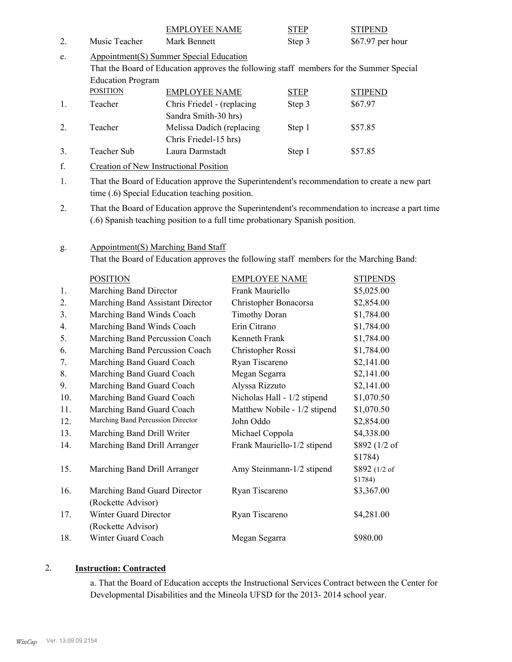|     |                                                | <b>EMPLOYEE NAME</b>                                                                    |                                               | <b>STEP</b>                                                                  | <b>STIPEND</b>                                                                                  |  |  |
|-----|------------------------------------------------|-----------------------------------------------------------------------------------------|-----------------------------------------------|------------------------------------------------------------------------------|-------------------------------------------------------------------------------------------------|--|--|
| 2.  | Music Teacher                                  | Mark Bennett                                                                            |                                               | Step 3                                                                       | \$67.97 per hour                                                                                |  |  |
| e.  | <b>Appointment(S) Summer Special Education</b> |                                                                                         |                                               |                                                                              |                                                                                                 |  |  |
|     |                                                | That the Board of Education approves the following staff members for the Summer Special |                                               |                                                                              |                                                                                                 |  |  |
|     | <b>Education Program</b>                       |                                                                                         |                                               |                                                                              |                                                                                                 |  |  |
|     | <b>POSITION</b>                                | <b>EMPLOYEE NAME</b>                                                                    |                                               | <b>STEP</b>                                                                  | <b>STIPEND</b>                                                                                  |  |  |
| 1.  | Teacher                                        | Chris Friedel - (replacing                                                              |                                               | Step 3                                                                       | \$67.97                                                                                         |  |  |
|     |                                                | Sandra Smith-30 hrs)                                                                    |                                               |                                                                              |                                                                                                 |  |  |
| 2.  | Teacher                                        | Melissa Dadich (replacing                                                               |                                               | Step 1                                                                       | \$57.85                                                                                         |  |  |
|     |                                                | Chris Friedel-15 hrs)                                                                   |                                               |                                                                              |                                                                                                 |  |  |
| 3.  | Teacher Sub                                    | Laura Darmstadt                                                                         |                                               | Step 1                                                                       | \$57.85                                                                                         |  |  |
| f.  |                                                |                                                                                         | <b>Creation of New Instructional Position</b> |                                                                              |                                                                                                 |  |  |
| 1.  |                                                |                                                                                         |                                               |                                                                              | That the Board of Education approve the Superintendent's recommendation to create a new part    |  |  |
|     |                                                | time (.6) Special Education teaching position.                                          |                                               |                                                                              |                                                                                                 |  |  |
| 2.  |                                                |                                                                                         |                                               |                                                                              | That the Board of Education approve the Superintendent's recommendation to increase a part time |  |  |
|     |                                                |                                                                                         |                                               | (.6) Spanish teaching position to a full time probationary Spanish position. |                                                                                                 |  |  |
|     |                                                |                                                                                         |                                               |                                                                              |                                                                                                 |  |  |
| g.  |                                                | <b>Appointment(S) Marching Band Staff</b>                                               |                                               |                                                                              |                                                                                                 |  |  |
|     |                                                |                                                                                         |                                               |                                                                              | That the Board of Education approves the following staff members for the Marching Band:         |  |  |
|     |                                                |                                                                                         |                                               |                                                                              |                                                                                                 |  |  |
|     | <b>POSITION</b>                                |                                                                                         | <b>EMPLOYEE NAME</b>                          |                                                                              | <b>STIPENDS</b>                                                                                 |  |  |
| 1.  | Marching Band Director                         |                                                                                         | Frank Mauriello                               |                                                                              | \$5,025.00                                                                                      |  |  |
| 2.  | Marching Band Assistant Director               |                                                                                         | Christopher Bonacorsa                         |                                                                              | \$2,854.00                                                                                      |  |  |
| 3.  | Marching Band Winds Coach                      |                                                                                         | <b>Timothy Doran</b>                          |                                                                              | \$1,784.00                                                                                      |  |  |
| 4.  | Marching Band Winds Coach                      |                                                                                         | Erin Citrano                                  |                                                                              | \$1,784.00                                                                                      |  |  |
| 5.  | Marching Band Percussion Coach                 |                                                                                         | Kenneth Frank                                 |                                                                              | \$1,784.00                                                                                      |  |  |
| 6.  | Marching Band Percussion Coach                 |                                                                                         | Christopher Rossi                             |                                                                              | \$1,784.00                                                                                      |  |  |
| 7.  | Marching Band Guard Coach                      |                                                                                         | Ryan Tiscareno                                |                                                                              | \$2,141.00                                                                                      |  |  |
| 8.  | Marching Band Guard Coach                      |                                                                                         | Megan Segarra                                 |                                                                              | \$2,141.00                                                                                      |  |  |
| 9.  | Marching Band Guard Coach                      |                                                                                         | Alyssa Rizzuto                                |                                                                              | \$2,141.00                                                                                      |  |  |
| 10. | Marching Band Guard Coach                      |                                                                                         |                                               | Nicholas Hall - 1/2 stipend                                                  | \$1,070.50                                                                                      |  |  |
| 11. | Marching Band Guard Coach                      |                                                                                         |                                               | Matthew Nobile - 1/2 stipend                                                 | \$1,070.50                                                                                      |  |  |
| 12. | Marching Band Percussion Director              |                                                                                         | John Oddo                                     |                                                                              | \$2,854.00                                                                                      |  |  |
| 13. | Marching Band Drill Writer                     |                                                                                         | Michael Coppola                               |                                                                              | \$4,338.00                                                                                      |  |  |
| 14. | Marching Band Drill Arranger                   |                                                                                         |                                               | Frank Mauriello-1/2 stipend                                                  | \$892 (1/2 of                                                                                   |  |  |
|     |                                                |                                                                                         |                                               |                                                                              | \$1784)                                                                                         |  |  |
| 15. | Marching Band Drill Arranger                   |                                                                                         |                                               | Amy Steinmann-1/2 stipend                                                    | \$892 (1/2 of                                                                                   |  |  |
|     |                                                |                                                                                         |                                               |                                                                              | \$1784)                                                                                         |  |  |
| 16. | Marching Band Guard Director                   |                                                                                         | Ryan Tiscareno                                |                                                                              | \$3,367.00                                                                                      |  |  |
|     | (Rockette Advisor)                             |                                                                                         |                                               |                                                                              |                                                                                                 |  |  |
| 17. | Winter Guard Director                          |                                                                                         | Ryan Tiscareno                                |                                                                              | \$4,281.00                                                                                      |  |  |
|     | (Rockette Advisor)                             |                                                                                         |                                               |                                                                              |                                                                                                 |  |  |
| 18. | Winter Guard Coach                             |                                                                                         | Megan Segarra                                 |                                                                              | \$980.00                                                                                        |  |  |

# 2. **Instruction: Contracted**

a. That the Board of Education accepts the Instructional Services Contract between the Center for Developmental Disabilities and the Mineola UFSD for the 2013- 2014 school year.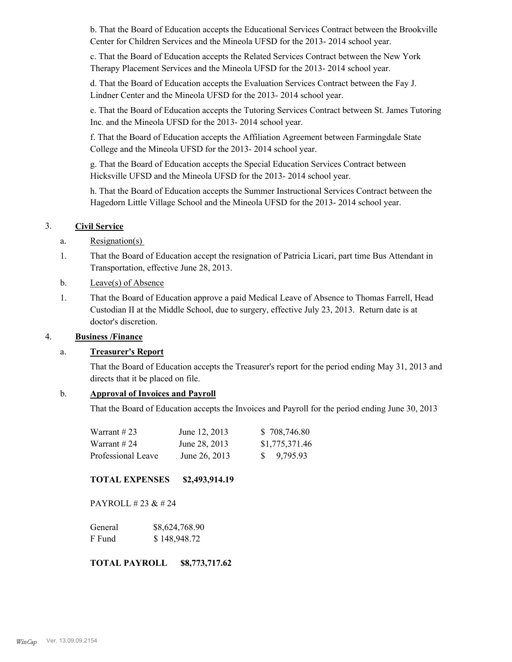b. That the Board of Education accepts the Educational Services Contract between the Brookville Center for Children Services and the Mineola UFSD for the 2013- 2014 school year.

c. That the Board of Education accepts the Related Services Contract between the New York Therapy Placement Services and the Mineola UFSD for the 2013- 2014 school year.

d. That the Board of Education accepts the Evaluation Services Contract between the Fay J. Lindner Center and the Mineola UFSD for the 2013- 2014 school year.

e. That the Board of Education accepts the Tutoring Services Contract between St. James Tutoring Inc. and the Mineola UFSD for the 2013- 2014 school year.

f. That the Board of Education accepts the Affiliation Agreement between Farmingdale State College and the Mineola UFSD for the 2013- 2014 school year.

g. That the Board of Education accepts the Special Education Services Contract between Hicksville UFSD and the Mineola UFSD for the 2013- 2014 school year.

h. That the Board of Education accepts the Summer Instructional Services Contract between the Hagedorn Little Village School and the Mineola UFSD for the 2013- 2014 school year.

# 3. **Civil Service**

- a. Resignation(s)
- That the Board of Education accept the resignation of Patricia Licari, part time Bus Attendant in Transportation, effective June 28, 2013. 1.
- b. Leave(s) of Absence
- That the Board of Education approve a paid Medical Leave of Absence to Thomas Farrell, Head Custodian II at the Middle School, due to surgery, effective July 23, 2013. Return date is at doctor's discretion. 1.

# 4. **Business /Finance**

# a. **Treasurer's Report**

That the Board of Education accepts the Treasurer's report for the period ending May 31, 2013 and directs that it be placed on file.

## b. **Approval of Invoices and Payroll**

That the Board of Education accepts the Invoices and Payroll for the period ending June 30, 2013

| Warrant #23        | June 12, 2013 | \$708,746.80           |
|--------------------|---------------|------------------------|
| Warrant # 24       | June 28, 2013 | \$1,775,371.46         |
| Professional Leave | June 26, 2013 | $\frac{1}{2}$ 9.795.93 |

## **TOTAL EXPENSES \$2,493,914.19**

PAYROLL # 23 & # 24

| General | \$8,624,768.90 |
|---------|----------------|
| F Fund  | \$148,948.72   |

**TOTAL PAYROLL \$8,773,717.62**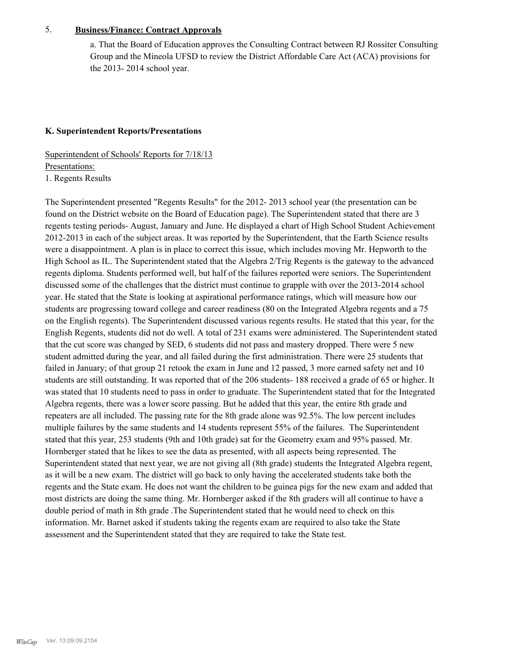# 5. **Business/Finance: Contract Approvals**

a. That the Board of Education approves the Consulting Contract between RJ Rossiter Consulting Group and the Mineola UFSD to review the District Affordable Care Act (ACA) provisions for the 2013- 2014 school year.

# **K. Superintendent Reports/Presentations**

Superintendent of Schools' Reports for 7/18/13 Presentations: 1. Regents Results

The Superintendent presented "Regents Results" for the 2012- 2013 school year (the presentation can be found on the District website on the Board of Education page). The Superintendent stated that there are 3 regents testing periods- August, January and June. He displayed a chart of High School Student Achievement 2012-2013 in each of the subject areas. It was reported by the Superintendent, that the Earth Science results were a disappointment. A plan is in place to correct this issue, which includes moving Mr. Hepworth to the High School as IL. The Superintendent stated that the Algebra 2/Trig Regents is the gateway to the advanced regents diploma. Students performed well, but half of the failures reported were seniors. The Superintendent discussed some of the challenges that the district must continue to grapple with over the 2013-2014 school year. He stated that the State is looking at aspirational performance ratings, which will measure how our students are progressing toward college and career readiness (80 on the Integrated Algebra regents and a 75 on the English regents). The Superintendent discussed various regents results. He stated that this year, for the English Regents, students did not do well. A total of 231 exams were administered. The Superintendent stated that the cut score was changed by SED, 6 students did not pass and mastery dropped. There were 5 new student admitted during the year, and all failed during the first administration. There were 25 students that failed in January; of that group 21 retook the exam in June and 12 passed, 3 more earned safety net and 10 students are still outstanding. It was reported that of the 206 students- 188 received a grade of 65 or higher. It was stated that 10 students need to pass in order to graduate. The Superintendent stated that for the Integrated Algebra regents, there was a lower score passing. But he added that this year, the entire 8th grade and repeaters are all included. The passing rate for the 8th grade alone was 92.5%. The low percent includes multiple failures by the same students and 14 students represent 55% of the failures. The Superintendent stated that this year, 253 students (9th and 10th grade) sat for the Geometry exam and 95% passed. Mr. Hornberger stated that he likes to see the data as presented, with all aspects being represented. The Superintendent stated that next year, we are not giving all (8th grade) students the Integrated Algebra regent, as it will be a new exam. The district will go back to only having the accelerated students take both the regents and the State exam. He does not want the children to be guinea pigs for the new exam and added that most districts are doing the same thing. Mr. Hornberger asked if the 8th graders will all continue to have a double period of math in 8th grade .The Superintendent stated that he would need to check on this information. Mr. Barnet asked if students taking the regents exam are required to also take the State assessment and the Superintendent stated that they are required to take the State test.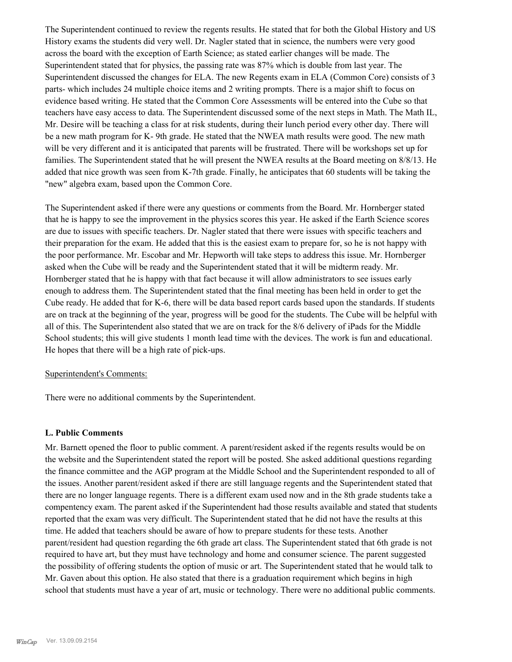The Superintendent continued to review the regents results. He stated that for both the Global History and US History exams the students did very well. Dr. Nagler stated that in science, the numbers were very good across the board with the exception of Earth Science; as stated earlier changes will be made. The Superintendent stated that for physics, the passing rate was 87% which is double from last year. The Superintendent discussed the changes for ELA. The new Regents exam in ELA (Common Core) consists of 3 parts- which includes 24 multiple choice items and 2 writing prompts. There is a major shift to focus on evidence based writing. He stated that the Common Core Assessments will be entered into the Cube so that teachers have easy access to data. The Superintendent discussed some of the next steps in Math. The Math IL, Mr. Desire will be teaching a class for at risk students, during their lunch period every other day. There will be a new math program for K- 9th grade. He stated that the NWEA math results were good. The new math will be very different and it is anticipated that parents will be frustrated. There will be workshops set up for families. The Superintendent stated that he will present the NWEA results at the Board meeting on 8/8/13. He added that nice growth was seen from K-7th grade. Finally, he anticipates that 60 students will be taking the "new" algebra exam, based upon the Common Core.

The Superintendent asked if there were any questions or comments from the Board. Mr. Hornberger stated that he is happy to see the improvement in the physics scores this year. He asked if the Earth Science scores are due to issues with specific teachers. Dr. Nagler stated that there were issues with specific teachers and their preparation for the exam. He added that this is the easiest exam to prepare for, so he is not happy with the poor performance. Mr. Escobar and Mr. Hepworth will take steps to address this issue. Mr. Hornberger asked when the Cube will be ready and the Superintendent stated that it will be midterm ready. Mr. Hornberger stated that he is happy with that fact because it will allow administrators to see issues early enough to address them. The Superintendent stated that the final meeting has been held in order to get the Cube ready. He added that for K-6, there will be data based report cards based upon the standards. If students are on track at the beginning of the year, progress will be good for the students. The Cube will be helpful with all of this. The Superintendent also stated that we are on track for the 8/6 delivery of iPads for the Middle School students; this will give students 1 month lead time with the devices. The work is fun and educational. He hopes that there will be a high rate of pick-ups.

## Superintendent's Comments:

There were no additional comments by the Superintendent.

## **L. Public Comments**

Mr. Barnett opened the floor to public comment. A parent/resident asked if the regents results would be on the website and the Superintendent stated the report will be posted. She asked additional questions regarding the finance committee and the AGP program at the Middle School and the Superintendent responded to all of the issues. Another parent/resident asked if there are still language regents and the Superintendent stated that there are no longer language regents. There is a different exam used now and in the 8th grade students take a compentency exam. The parent asked if the Superintendent had those results available and stated that students reported that the exam was very difficult. The Superintendent stated that he did not have the results at this time. He added that teachers should be aware of how to prepare students for these tests. Another parent/resident had question regarding the 6th grade art class. The Superintendent stated that 6th grade is not required to have art, but they must have technology and home and consumer science. The parent suggested the possibility of offering students the option of music or art. The Superintendent stated that he would talk to Mr. Gaven about this option. He also stated that there is a graduation requirement which begins in high school that students must have a year of art, music or technology. There were no additional public comments.